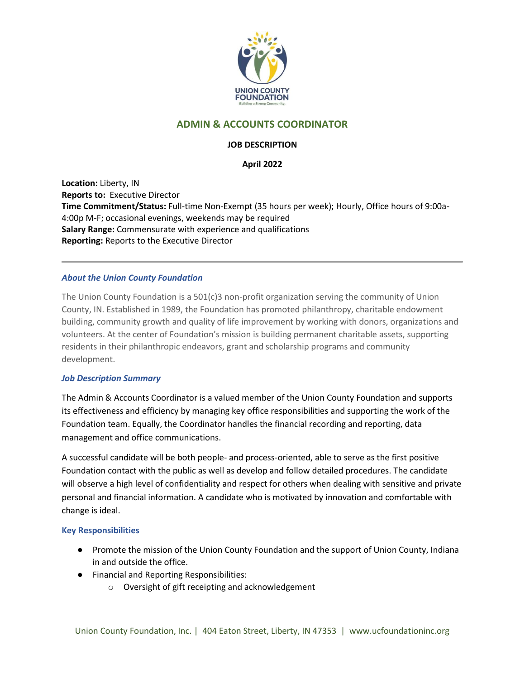

# **ADMIN & ACCOUNTS COORDINATOR**

# **JOB DESCRIPTION**

# **April 2022**

**Location:** Liberty, IN **Reports to:** Executive Director **Time Commitment/Status:** Full-time Non-Exempt (35 hours per week); Hourly, Office hours of 9:00a-4:00p M-F; occasional evenings, weekends may be required **Salary Range:** Commensurate with experience and qualifications **Reporting:** Reports to the Executive Director

# *About the Union County Foundation*

The Union County Foundation is a 501(c)3 non-profit organization serving the community of Union County, IN. Established in 1989, the Foundation has promoted philanthropy, charitable endowment building, community growth and quality of life improvement by working with donors, organizations and volunteers. At the center of Foundation's mission is building permanent charitable assets, supporting residents in their philanthropic endeavors, grant and scholarship programs and community development.

#### *Job Description Summary*

The Admin & Accounts Coordinator is a valued member of the Union County Foundation and supports its effectiveness and efficiency by managing key office responsibilities and supporting the work of the Foundation team. Equally, the Coordinator handles the financial recording and reporting, data management and office communications.

A successful candidate will be both people- and process-oriented, able to serve as the first positive Foundation contact with the public as well as develop and follow detailed procedures. The candidate will observe a high level of confidentiality and respect for others when dealing with sensitive and private personal and financial information. A candidate who is motivated by innovation and comfortable with change is ideal.

# **Key Responsibilities**

- Promote the mission of the Union County Foundation and the support of Union County, Indiana in and outside the office.
- Financial and Reporting Responsibilities:
	- o Oversight of gift receipting and acknowledgement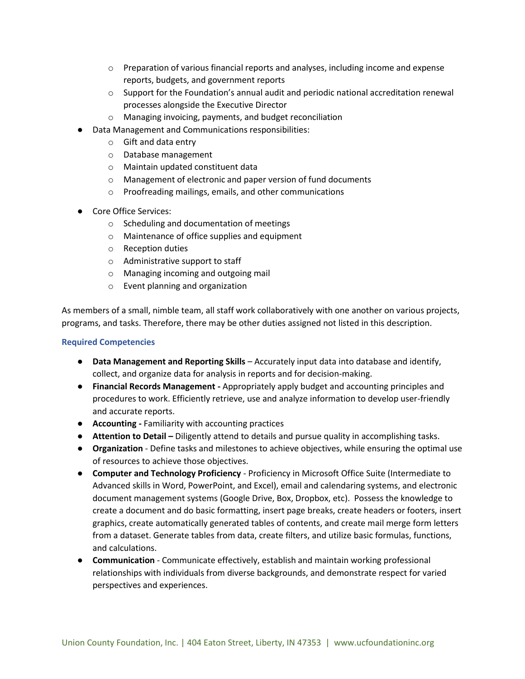- $\circ$  Preparation of various financial reports and analyses, including income and expense reports, budgets, and government reports
- $\circ$  Support for the Foundation's annual audit and periodic national accreditation renewal processes alongside the Executive Director
- o Managing invoicing, payments, and budget reconciliation
- Data Management and Communications responsibilities:
	- o Gift and data entry
	- o Database management
	- o Maintain updated constituent data
	- o Management of electronic and paper version of fund documents
	- o Proofreading mailings, emails, and other communications
- Core Office Services:
	- o Scheduling and documentation of meetings
	- o Maintenance of office supplies and equipment
	- o Reception duties
	- o Administrative support to staff
	- o Managing incoming and outgoing mail
	- o Event planning and organization

As members of a small, nimble team, all staff work collaboratively with one another on various projects, programs, and tasks. Therefore, there may be other duties assigned not listed in this description.

#### **Required Competencies**

- **Data Management and Reporting Skills** Accurately input data into database and identify, collect, and organize data for analysis in reports and for decision-making.
- **Financial Records Management -** Appropriately apply budget and accounting principles and procedures to work. Efficiently retrieve, use and analyze information to develop user-friendly and accurate reports.
- **Accounting -** Familiarity with accounting practices
- **Attention to Detail –** Diligently attend to details and pursue quality in accomplishing tasks.
- **Organization** Define tasks and milestones to achieve objectives, while ensuring the optimal use of resources to achieve those objectives.
- **Computer and Technology Proficiency** Proficiency in Microsoft Office Suite (Intermediate to Advanced skills in Word, PowerPoint, and Excel), email and calendaring systems, and electronic document management systems (Google Drive, Box, Dropbox, etc). Possess the knowledge to create a document and do basic formatting, insert page breaks, create headers or footers, insert graphics, create automatically generated tables of contents, and create mail merge form letters from a dataset. Generate tables from data, create filters, and utilize basic formulas, functions, and calculations.
- **Communication** Communicate effectively, establish and maintain working professional relationships with individuals from diverse backgrounds, and demonstrate respect for varied perspectives and experiences.